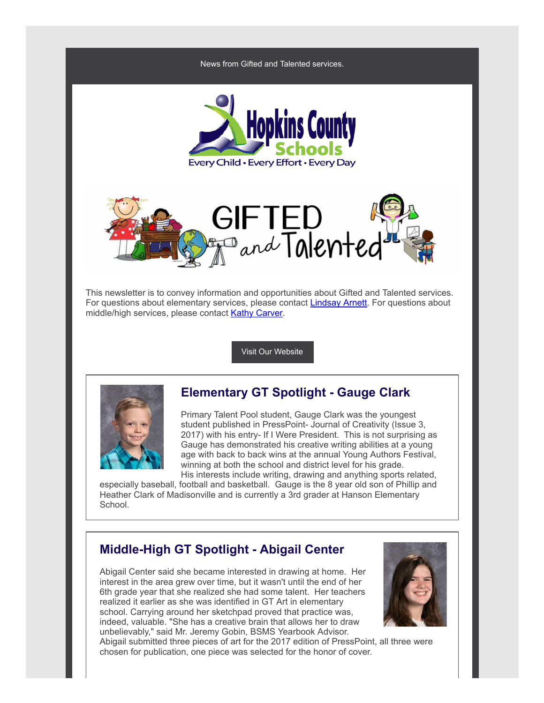





This newsletter is to convey information and opportunities about Gifted and Talented services. For questions about elementary services, please contact **[Lindsay](mailto:lindsay.arnett@hopkins.kyschools.us) Arnett**. For questions about middle/high services, please contact Kathy [Carver](mailto:kathy.carver@hopkins.kyschools.us).

Visit Our [Website](https://www.hopkins.kyschools.us/domain/55)



## Elementary GT Spotlight - Gauge Clark

Primary Talent Pool student, Gauge Clark was the youngest student published in PressPoint- Journal of Creativity (Issue 3, 2017) with his entry- If I Were President. This is not surprising as Gauge has demonstrated his creative writing abilities at a young age with back to back wins at the annual Young Authors Festival, winning at both the school and district level for his grade. His interests include writing, drawing and anything sports related,

especially baseball, football and basketball. Gauge is the 8 year old son of Phillip and Heather Clark of Madisonville and is currently a 3rd grader at Hanson Elementary School.

### Middle-High GT Spotlight - Abigail Center

Abigail Center said she became interested in drawing at home. Her interest in the area grew over time, but it wasn't until the end of her 6th grade year that she realized she had some talent. Her teachers realized it earlier as she was identified in GT Art in elementary school. Carrying around her sketchpad proved that practice was, indeed, valuable. "She has a creative brain that allows her to draw unbelievably," said Mr. Jeremy Gobin, BSMS Yearbook Advisor.



Abigail submitted three pieces of art for the 2017 edition of PressPoint, all three were chosen for publication, one piece was selected for the honor of cover.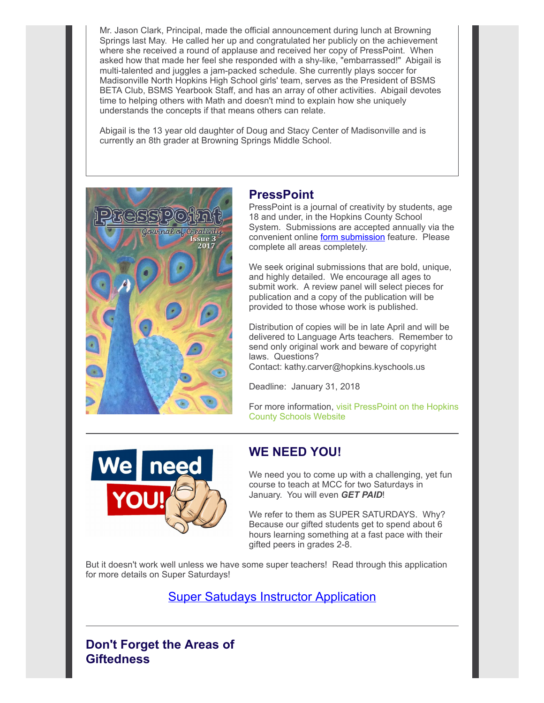Mr. Jason Clark, Principal, made the official announcement during lunch at Browning Springs last May. He called her up and congratulated her publicly on the achievement where she received a round of applause and received her copy of PressPoint. When asked how that made her feel she responded with a shy-like, "embarrassed!" Abigail is multi-talented and juggles a jam-packed schedule. She currently plays soccer for Madisonville North Hopkins High School girls' team, serves as the President of BSMS BETA Club, BSMS Yearbook Staff, and has an array of other activities. Abigail devotes time to helping others with Math and doesn't mind to explain how she uniquely understands the concepts if that means others can relate.

Abigail is the 13 year old daughter of Doug and Stacy Center of Madisonville and is currently an 8th grader at Browning Springs Middle School.



### **PressPoint**

PressPoint is a journal of creativity by students, age 18 and under, in the Hopkins County School System. Submissions are accepted annually via the convenient online **form [submission](https://goo.gl/ne6gyC)** feature. Please complete all areas completely.

We seek original submissions that are bold, unique, and highly detailed. We encourage all ages to submit work. A review panel will select pieces for publication and a copy of the publication will be provided to those whose work is published.

Distribution of copies will be in late April and will be delivered to Language Arts teachers. Remember to send only original work and beware of copyright laws. Questions?

Contact: kathy.carver@hopkins.kyschools.us

Deadline: January 31, 2018

For more [information,](https://www.hopkins.kyschools.us/Page/175) visit PressPoint on the Hopkins County Schools Website



### WE NEED YOU!

We need you to come up with a challenging, yet fun course to teach at MCC for two Saturdays in January. You will even GET PAID!

We refer to them as SUPER SATURDAYS. Why? Because our gifted students get to spend about 6 hours learning something at a fast pace with their gifted peers in grades 2-8.

But it doesn't work well unless we have some super teachers! Read through this application for more details on Super Saturdays!

Super Satudays Instructor [Application](https://docs.google.com/forms/d/e/1FAIpQLSfNMgYSQmwpPTPL0SzO1rWLY7jcor7C9OKSlBZIe6bOgIHDqw/viewform)

Don't Forget the Areas of **Giftedness**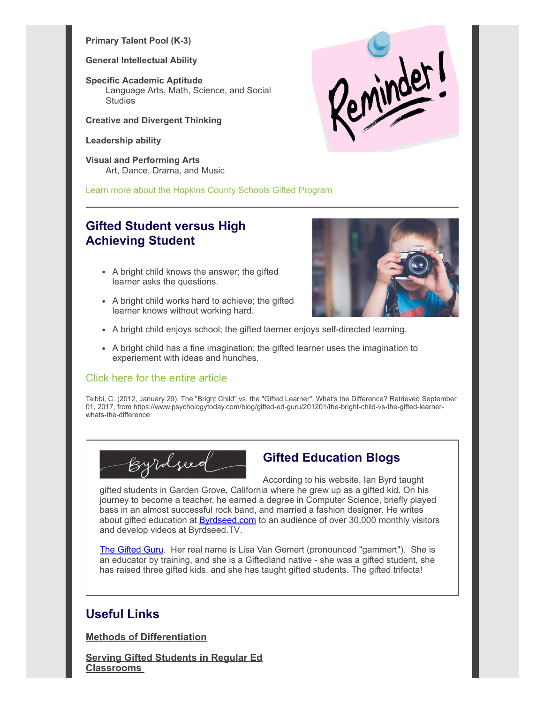#### Primary Talent Pool (K-3)

#### General Intellectual Ability

Specific Academic Aptitude Language Arts, Math, Science, and Social **Studies** 

#### Creative and Divergent Thinking

#### Leadership ability

Visual and Performing Arts Art, Dance, Drama, and Music





## Gifted Student versus High Achieving Student

- A bright child knows the answer; the gifted learner asks the questions.
- A bright child works hard to achieve; the gifted learner knows without working hard.



- A bright child enjoys school; the gifted laerner enjoys self-directed learning.
- A bright child has a fine imagination; the gifted learner uses the imagination to experiement with ideas and hunches.

### Click here for the entire [article](https://www.psychologytoday.com/blog/gifted-ed-guru/201201/the-bright-child-vs-the-gifted-learner-whats-the-difference)

Taibbi, C. (2012, January 29). The "Bright Child" vs. the "Gifted Learner": What's the Difference? Retrieved September 01, 2017, from https://www.psychologytoday.com/blog/gifted-ed-guru/201201/the-bright-child-vs-the-gifted-learnerwhats-the-difference



# Gifted Education Blogs

According to his website, Ian Byrd taught gifted students in Garden Grove, California where he grew up as a gifted kid. On his journey to become a teacher, he earned a degree in Computer Science, briefly played bass in an almost successful rock band, and married a fashion designer. He writes about gifted education at **[Byrdseed.com](http://www.byrdseed.com/)** to an audience of over 30,000 monthly visitors and develop videos at Byrdseed.TV.

The [Gifted](http://www.giftedguru.com/) Guru. Her real name is Lisa Van Gemert (pronounced "gammert"). She is an educator by training, and she is a Giftedland native - she was a gifted student, she has raised three gifted kids, and she has taught gifted students. The gifted trifecta!

# Useful Links

Methods of [Differentiation](http://www.bbcactive.com/BBCActiveIdeasandResources/MethodsofDifferentiationintheClassroom.aspx)

Serving Gifted Students in Regular Ed **[Classrooms](https://www.edutopia.org/blog/gifted-students-general-ed-classrooms-elissa-brown)**